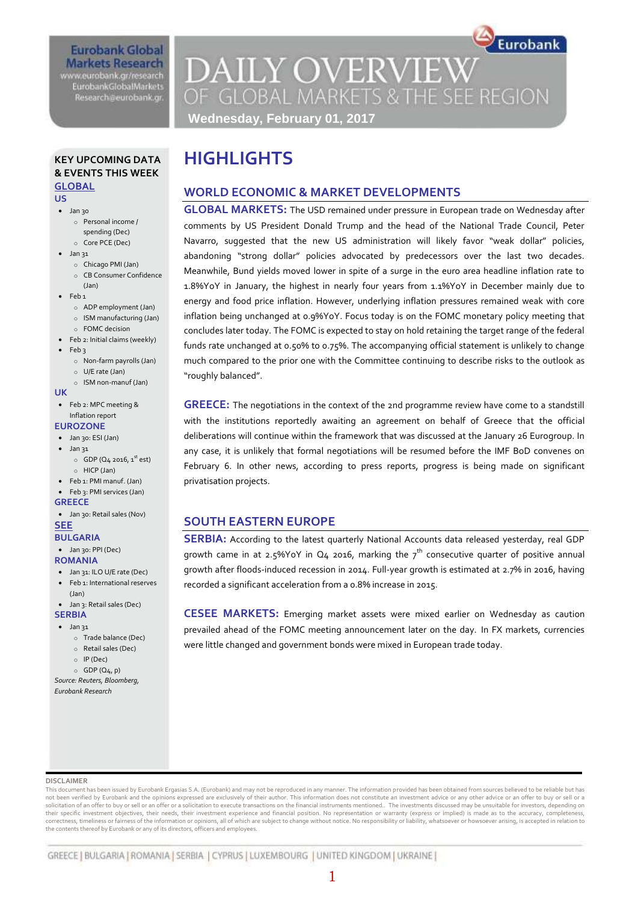### **Eurobank Global Markets Research** www.eurobank.gr/research **EurobankGlobalMarkets** Research@eurobank.gr

**DAILY OVERVIEW** OF GLOBAL MARKETS & THE SEE REGION

Eurobank

# **Wednesday, February 01, 2017**

**HIGHLIGHTS**

## **KEY UPCOMING DATA & EVENTS THIS WEEK GLOBAL**

#### **US**

- $\bullet$  Jan 30
	- o Personal income /
	- spending (Dec) o Core PCE (Dec)
- $\bullet$  Jan 31
	- o Chicago PMI (Jan)
	- o CB Consumer Confidence
- (Jan)
- $\bullet$  Feb 1
	- o ADP employment (Jan)
	- o ISM manufacturing (Jan)
- o FOMC decision Feb 2: Initial claims (weekly)
- Feb 3
- - o Non-farm payrolls (Jan) o U/E rate (Jan)
- o ISM non-manuf (Jan)

#### **UK**

Feb 2: MPC meeting &

### Inflation report

### **EUROZONE**

- Jan 30: ESI (Jan)
- $\bullet$  Jan 31
- $\circ$  GDP (Q4 2016, 1<sup>st</sup> est) o HICP (Jan)
- Feb 1: PMI manuf. (Jan)
- Feb 3: PMI services (Jan) **GREECE**
- 
- Jan 30: Retail sales (Nov) **SEE**

# **BULGARIA**

- Jan 30: PPI (Dec)
- **ROMANIA**
- Jan 31: ILO U/E rate (Dec) Feb 1: International reserves
- (Jan)
- Jan 3: Retail sales (Dec) **SERBIA**

# $\bullet$  Jan 31

- o Trade balance (Dec)
- o Retail sales (Dec)
- o IP (Dec)
- $O$  GDP  $(Q_4, p)$
- 

#### *Source: Reuters, Bloomberg, Eurobank Research*

# **GLOBAL MARKETS:** The USD remained under pressure in European trade on Wednesday after

**WORLD ECONOMIC & MARKET DEVELOPMENTS**

comments by US President Donald Trump and the head of the National Trade Council, Peter Navarro, suggested that the new US administration will likely favor "weak dollar" policies, abandoning "strong dollar" policies advocated by predecessors over the last two decades. Meanwhile, Bund yields moved lower in spite of a surge in the euro area headline inflation rate to 1.8%YoY in January, the highest in nearly four years from 1.1%YoY in December mainly due to energy and food price inflation. However, underlying inflation pressures remained weak with core inflation being unchanged at 0.9%YoY. Focus today is on the FOMC monetary policy meeting that concludes later today. The FOMC is expected to stay on hold retaining the target range of the federal funds rate unchanged at 0.50% to 0.75%. The accompanying official statement is unlikely to change much compared to the prior one with the Committee continuing to describe risks to the outlook as "roughly balanced".

**GREECE:** The negotiations in the context of the 2nd programme review have come to a standstill with the institutions reportedly awaiting an agreement on behalf of Greece that the official deliberations will continue within the framework that was discussed at the January 26 Eurogroup. In any case, it is unlikely that formal negotiations will be resumed before the IMF BoD convenes on February 6. In other news, according to press reports, progress is being made on significant privatisation projects.

# **SOUTH EASTERN EUROPE**

**SERBIA:** According to the latest quarterly National Accounts data released yesterday, real GDP growth came in at 2.5%YoY in  $Q_4$  2016, marking the  $7<sup>th</sup>$  consecutive quarter of positive annual growth after floods-induced recession in 2014. Full-year growth is estimated at 2.7% in 2016, having recorded a significant acceleration from a 0.8% increase in 2015.

**CESEE MARKETS:** Emerging market assets were mixed earlier on Wednesday as caution prevailed ahead of the FOMC meeting announcement later on the day. In FX markets, currencies were little changed and government bonds were mixed in European trade today.

#### **DISCLAIMER**

This document has been issued by Eurobank Ergasias S.A. (Eurobank) and may not be reproduced in any manner. The information provided has been obtained from sources believed to be reliable but has not been verified by Eurobank and the opinions expressed are exclusively of their author. This information does not constitute an investment advice or any other advice or an offer to buy or sell or a solicitation of an offer to buy or sell or an offer or a solicitation to execute transactions on the financial instruments mentioned.. The investments discussed may be unsuitable for investors, depending on<br>their specific correctness, timeliness or fairness of the information or opinions, all of which are subject to change without notice. No responsibility or liability, whatsoever or howsoever arising, is accepted in relation to the contents thereof by Eurobank or any of its directors, officers and employees.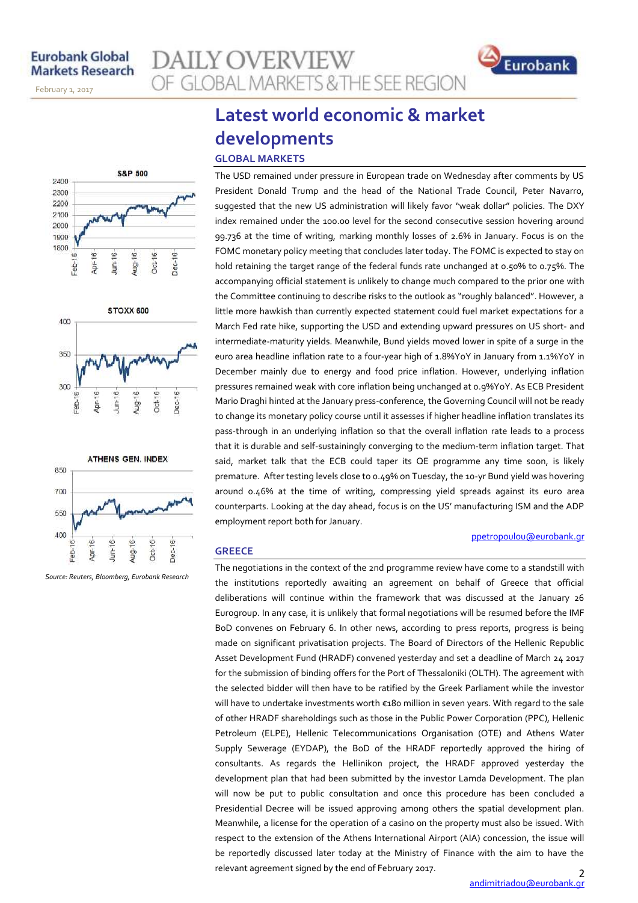November 14, 2013

February 1, 2017







*Source: Reuters, Bloomberg, Eurobank Research*

# **Latest world economic & market developments GLOBAL MARKETS**

**AILY OVERVIEW** 

OF GLOBAL MARKETS & THE SEE REGION

The USD remained under pressure in European trade on Wednesday after comments by US President Donald Trump and the head of the National Trade Council, Peter Navarro, suggested that the new US administration will likely favor "weak dollar" policies. The DXY index remained under the 100.00 level for the second consecutive session hovering around 99.736 at the time of writing, marking monthly losses of 2.6% in January. Focus is on the FOMC monetary policy meeting that concludes later today. The FOMC is expected to stay on hold retaining the target range of the federal funds rate unchanged at 0.50% to 0.75%. The accompanying official statement is unlikely to change much compared to the prior one with the Committee continuing to describe risks to the outlook as "roughly balanced". However, a little more hawkish than currently expected statement could fuel market expectations for a March Fed rate hike, supporting the USD and extending upward pressures on US short- and intermediate-maturity yields. Meanwhile, Bund yields moved lower in spite of a surge in the euro area headline inflation rate to a four-year high of 1.8%YoY in January from 1.1%YoY in December mainly due to energy and food price inflation. However, underlying inflation pressures remained weak with core inflation being unchanged at 0.9%YoY. As ECB President Mario Draghi hinted at the January press-conference, the Governing Council will not be ready to change its monetary policy course until it assesses if higher headline inflation translates its pass-through in an underlying inflation so that the overall inflation rate leads to a process that it is durable and self-sustainingly converging to the medium-term inflation target. That said, market talk that the ECB could taper its QE programme any time soon, is likely premature. After testing levels close to 0.49% on Tuesday, the 10-yr Bund yield was hovering around 0.46% at the time of writing, compressing yield spreads against its euro area counterparts. Looking at the day ahead, focus is on the US' manufacturing ISM and the ADP employment report both for January.

#### [ppetropoulou@eurobank.gr](mailto:ppetropoulou@eurobank.gr)

Eurobank

#### **GREECE**

The negotiations in the context of the 2nd programme review have come to a standstill with the institutions reportedly awaiting an agreement on behalf of Greece that official deliberations will continue within the framework that was discussed at the January 26 Eurogroup. In any case, it is unlikely that formal negotiations will be resumed before the IMF BoD convenes on February 6. In other news, according to press reports, progress is being made on significant privatisation projects. The Board of Directors of the Hellenic Republic Asset Development Fund (HRADF) convened yesterday and set a deadline of March 24 2017 for the submission of binding offers for the Port of Thessaloniki (OLTH). The agreement with the selected bidder will then have to be ratified by the Greek Parliament while the investor will have to undertake investments worth €180 million in seven years. With regard to the sale of other HRADF shareholdings such as those in the Public Power Corporation (PPC), Hellenic Petroleum (ELPE), Hellenic Telecommunications Organisation (OTE) and Athens Water Supply Sewerage (EYDAP), the BoD of the HRADF reportedly approved the hiring of consultants. As regards the Hellinikon project, the HRADF approved yesterday the development plan that had been submitted by the investor Lamda Development. The plan will now be put to public consultation and once this procedure has been concluded a Presidential Decree will be issued approving among others the spatial development plan. Meanwhile, a license for the operation of a casino on the property must also be issued. With respect to the extension of the Athens International Airport (AIA) concession, the issue will be reportedly discussed later today at the Ministry of Finance with the aim to have the relevant agreement signed by the end of February 2017.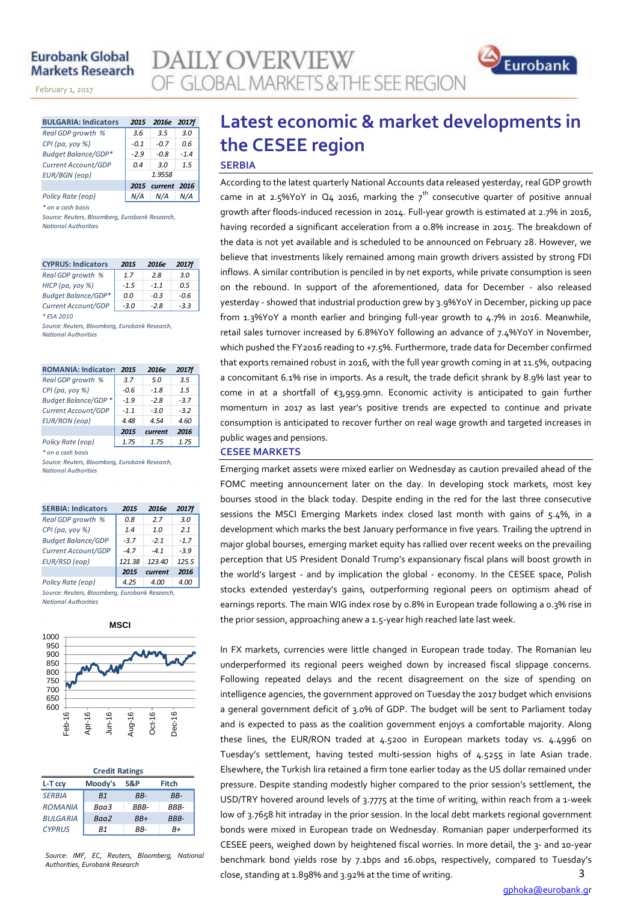# **Eurobank Global Markets Research**

November 14, 2013

February 1, 2017

| <b>BULGARIA: Indicators</b> | 2015   | 2016e 2017f       |        |  |  |  |
|-----------------------------|--------|-------------------|--------|--|--|--|
| Real GDP growth %           | 3.6    | 3.5               | 3.0    |  |  |  |
| $CPI$ (pa, yoy %)           | $-0.1$ | $-0.7$            | 0.6    |  |  |  |
| <b>Budget Balance/GDP*</b>  | $-2.9$ | $-0.8$            | $-1.4$ |  |  |  |
| Current Account/GDP         | 0.4    | 3.0               | 1.5    |  |  |  |
| <b>EUR/BGN</b> (eop)        |        | 1.9558            |        |  |  |  |
|                             |        | 2015 current 2016 |        |  |  |  |
| Policy Rate (eop)           | N/A    | N/A               | N/A    |  |  |  |

*\* on a cash basis*

*Source: Reuters, Bloomberg, Eurobank Research, National Authorities*

| <b>CYPRUS: Indicators</b>  | 2015   | 2016e  | <b>2017f</b> |
|----------------------------|--------|--------|--------------|
| Real GDP growth %          | 1.7    | 28     | 3.0          |
| HICP (pa, yoy %)           | $-1.5$ | $-1.1$ | 0.5          |
| <b>Budget Balance/GDP*</b> | 0.0    | $-0.3$ | -0.6         |
| Current Account/GDP        | $-3.0$ | $-2.8$ | $-3.3$       |

*\* ESA 2010*

*Source: Reuters, Bloomberg, Eurobank Research, National Authorities*

| <b>ROMANIA: Indicators</b>                     | 2015   | 2016e   | <b>2017f</b> |
|------------------------------------------------|--------|---------|--------------|
| Real GDP growth %                              | 3.7    | 5.0     | 3.5          |
| CPI (pa, yoy %)                                | $-0.6$ | $-1.8$  | 1.5          |
| <b>Budget Balance/GDP *</b>                    | $-1.9$ | $-2.8$  | $-3.7$       |
| Current Account/GDP                            | $-1.1$ | $-3.0$  | $-3.2$       |
| <b>EUR/RON</b> (eop)                           | 4.48   | 4.54    | 4.60         |
|                                                | 2015   | current | 2016         |
| Policy Rate (eop)                              | 1.75   | 1.75    | 1.75         |
| * on a cash basis                              |        |         |              |
| Source: Reuters, Bloombera, Eurobank Research, |        |         |              |

*Source: Reuters, Bloomberg, Eurobank Research, National Authorities*

| <b>SERBIA: Indicators</b>                     | 2015   | 2016e   | <b>2017f</b> |
|-----------------------------------------------|--------|---------|--------------|
| Real GDP growth %                             | 0.8    | 2.7     | 3.0          |
| CPI (pa, yoy $%$ )                            | 1.4    | 1.0     | 2.1          |
| <b>Budget Balance/GDP</b>                     | $-3.7$ | $-2.1$  | $-1.7$       |
| Current Account/GDP                           | $-4.7$ | $-4.1$  | $-3.9$       |
| EUR/RSD (eop)                                 | 121.38 | 123.40  | 125.5        |
|                                               | 2015   | current | 2016         |
| Policy Rate (eop)                             | 4.25   | 4.00    | 4.00         |
| Source: Reuters, Bloomberg, Furnbank Research |        |         |              |

*Source: Reuters, Bloomberg, Eurobank Research, National Authorities*



|                 | <b>Credit Ratings</b> |      |             |
|-----------------|-----------------------|------|-------------|
| L-T ccv         | Moody's               | S&P  | Fitch       |
| <b>SERBIA</b>   | B <sub>1</sub>        | RR-  | RR-         |
| <b>ROMANIA</b>  | Baa3                  | RRR- | RRR-        |
| <b>BULGARIA</b> | Baa2                  | RR+  | <b>BBB-</b> |
| <b>CYPRUS</b>   | R1                    | RR-  | R+          |

*Source: IMF, EC, Reuters, Bloomberg, National Authorities, Eurobank Research*

# **Latest economic & market developments in the CESEE region SERBIA**

Eurobank

According to the latest quarterly National Accounts data released yesterday, real GDP growth came in at 2.5%YoY in Q4 2016, marking the  $7<sup>th</sup>$  consecutive quarter of positive annual growth after floods-induced recession in 2014. Full-year growth is estimated at 2.7% in 2016, having recorded a significant acceleration from a 0.8% increase in 2015. The breakdown of the data is not yet available and is scheduled to be announced on February 28. However, we believe that investments likely remained among main growth drivers assisted by strong FDI inflows. A similar contribution is penciled in by net exports, while private consumption is seen on the rebound. In support of the aforementioned, data for December - also released yesterday - showed that industrial production grew by 3.9%YoY in December, picking up pace from 1.3%YoY a month earlier and bringing full-year growth to 4.7% in 2016. Meanwhile, retail sales turnover increased by 6.8%YoY following an advance of 7.4%YoY in November, which pushed the FY2016 reading to +7.5%. Furthermore, trade data for December confirmed that exports remained robust in 2016, with the full year growth coming in at 11.5%, outpacing a concomitant 6.1% rise in imports. As a result, the trade deficit shrank by 8.9% last year to come in at a shortfall of €3,959.9mn. Economic activity is anticipated to gain further momentum in 2017 as last year's positive trends are expected to continue and private consumption is anticipated to recover further on real wage growth and targeted increases in public wages and pensions.

#### **CESEE MARKETS**

LY OVERVIEW

OF GLOBAL MARKETS & THE SEE REGION

Emerging market assets were mixed earlier on Wednesday as caution prevailed ahead of the FOMC meeting announcement later on the day. In developing stock markets, most key bourses stood in the black today. Despite ending in the red for the last three consecutive sessions the MSCI Emerging Markets index closed last month with gains of 5.4%, in a development which marks the best January performance in five years. Trailing the uptrend in major global bourses, emerging market equity has rallied over recent weeks on the prevailing perception that US President Donald Trump's expansionary fiscal plans will boost growth in the world's largest - and by implication the global - economy. In the CESEE space, Polish stocks extended yesterday's gains, outperforming regional peers on optimism ahead of earnings reports. The main WIG index rose by 0.8% in European trade following a 0.3% rise in the prior session, approaching anew a 1.5-year high reached late last week.

3 In FX markets, currencies were little changed in European trade today. The Romanian leu underperformed its regional peers weighed down by increased fiscal slippage concerns. Following repeated delays and the recent disagreement on the size of spending on intelligence agencies, the government approved on Tuesday the 2017 budget which envisions a general government deficit of 3.0% of GDP. The budget will be sent to Parliament today and is expected to pass as the coalition government enjoys a comfortable majority. Along these lines, the EUR/RON traded at 4.5200 in European markets today vs. 4.4996 on Tuesday's settlement, having tested multi-session highs of 4.5255 in late Asian trade. Elsewhere, the Turkish lira retained a firm tone earlier today as the US dollar remained under pressure. Despite standing modestly higher compared to the prior session's settlement, the USD/TRY hovered around levels of 3.7775 at the time of writing, within reach from a 1-week low of 3.7658 hit intraday in the prior session. In the local debt markets regional government bonds were mixed in European trade on Wednesday. Romanian paper underperformed its CESEE peers, weighed down by heightened fiscal worries. In more detail, the 3- and 10-year benchmark bond yields rose by 7.1bps and 16.0bps, respectively, compared to Tuesday's close, standing at 1.898% and 3.92% at the time of writing.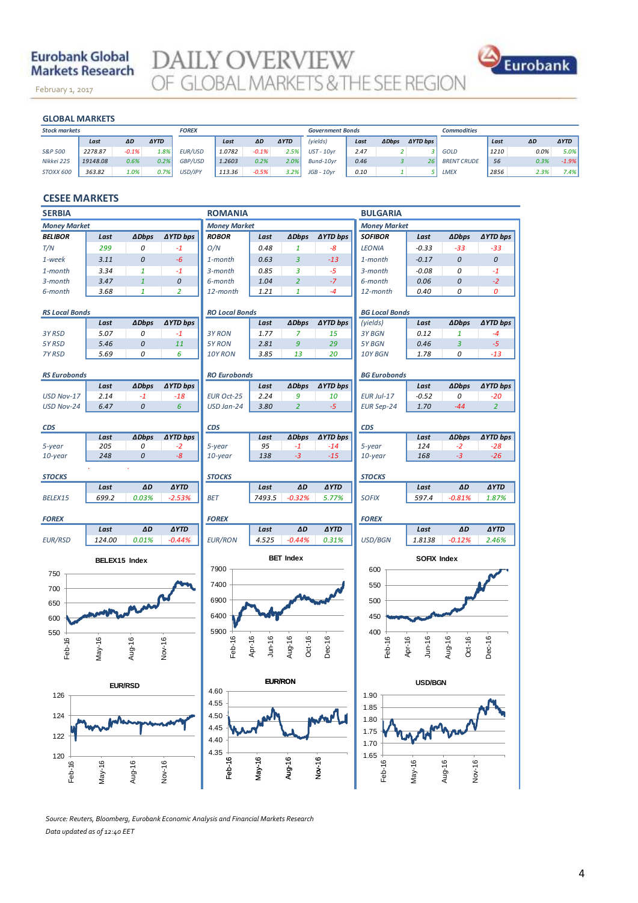# **Eurobank Global Markets Research**

February 1, 2017

**DAILY OVERVIEW**<br>OF GLOBAL MARKETS & THE SEE REGION



#### **GLOBAL MARKETS**

November 14, 2013

| <b>GLOBAL MARKETS</b> |          |         |             |                |        |         |             |                         |      |              |                 |                    |      |      |             |
|-----------------------|----------|---------|-------------|----------------|--------|---------|-------------|-------------------------|------|--------------|-----------------|--------------------|------|------|-------------|
| <b>Stock markets</b>  |          |         |             | <b>FOREX</b>   |        |         |             | <b>Government Bonds</b> |      |              |                 | <b>Commodities</b> |      |      |             |
|                       | Last     | ΔD      | <b>AYTD</b> |                | Last   | ΔD      | <b>AYTD</b> | (yields)                | Last | <b>ADbps</b> | <b>AYTD bps</b> |                    | Last | ΔD   | <b>AYTD</b> |
| S&P 500               | 2278.87  | $-0.1%$ | 1.8%        | <b>EUR/USD</b> | 1.0782 | $-0.1%$ | 2.5%        | $UST - 10yr$            | 2.47 |              |                 | <b>GOLD</b>        | 1210 | 0.0% | $5.0\%$     |
| Nikkei 225            | 19148.08 | 0.6%    | 0.2%        | GBP/USD        | 1.2603 | 0.2%    | 2.0%        | Bund-10vr               | 0.46 |              | 26              | <b>BRENT CRUDE</b> | 56   | 0.3% | $-1.9%$     |
| STOXX 600             | 363.82   | 1.0%    | 0.7%        | USD/JPY        | 113.36 | $-0.5%$ | 3.2%        | $JGB - 10yr$            | 0.10 |              |                 | <b>LMEX</b>        | 2856 | 2.3% | 7.4%        |

# **CESEE MARKETS**

| <b>SERBIA</b>           |                |              |                    | <b>ROMANIA</b>        |                         |                  |                 | <b>BULGARIA</b>       |                    |                  |                 |
|-------------------------|----------------|--------------|--------------------|-----------------------|-------------------------|------------------|-----------------|-----------------------|--------------------|------------------|-----------------|
| <b>Money Market</b>     |                |              |                    | <b>Money Market</b>   |                         |                  |                 | <b>Money Market</b>   |                    |                  |                 |
| <b>BELIBOR</b>          | Last           | <b>ADbps</b> | ∆YTD bps           | <b>ROBOR</b>          | Last                    | <b>ADbps</b>     | <b>AYTD bps</b> | <b>SOFIBOR</b>        | Last               | <b>ADbps</b>     | <b>AYTD bps</b> |
| T/N                     | 299            | 0            | $-1$               | O/N                   | 0.48                    | 1                | -8              | <b>LEONIA</b>         | $-0.33$            | $-33$            | $-33$           |
| 1-week                  | 3.11           | 0            | -6                 | 1-month               | 0.63                    | 3                | $-13$           | 1-month               | $-0.17$            | 0                | 0               |
| 1-month                 | 3.34           | $\mathbf{1}$ | $-1$               | 3-month               | 0.85                    | 3                | $-5$            | 3-month               | $-0.08$            | 0                | $-1$            |
| 3-month                 | 3.47           | $\mathbf{1}$ | $\pmb{\mathit{O}}$ | 6-month               | 1.04                    | $\overline{2}$   | $-7$            | 6-month               | 0.06               | 0                | $-2$            |
| 6-month                 | 3.68           | $\mathbf{1}$ | $\overline{2}$     | 12-month              | 1.21                    | $\mathbf{1}$     | $-4$            | 12-month              | 0.40               | 0                | 0               |
|                         |                |              |                    |                       |                         |                  |                 |                       |                    |                  |                 |
| <b>RS Local Bonds</b>   |                |              |                    | <b>RO Local Bonds</b> |                         |                  |                 | <b>BG Local Bonds</b> |                    |                  |                 |
|                         | Last           | <b>ADbps</b> | ∆YTD bps           |                       | Last                    | <b>ADbps</b>     | <b>AYTD bps</b> | (yields)              | Last               | <b>ADbps</b>     | ∆YTD bps        |
| 3Y RSD                  | 5.07<br>5.46   | 0<br>0       | $-1$<br>11         | 3Y RON<br>5Y RON      | 1.77<br>2.81            | 7<br>9           | 15<br>29        | 3Y BGN<br>5Y BGN      | 0.12<br>0.46       | 1<br>3           | $-4$<br>$-5$    |
| 5Y RSD<br><b>7Y RSD</b> | 5.69           | 0            | 6                  | 10Y RON               | 3.85                    | 13               | 20              | 10Y BGN               | 1.78               | 0                | $-13$           |
|                         |                |              |                    |                       |                         |                  |                 |                       |                    |                  |                 |
| <b>RS Eurobonds</b>     |                |              |                    | <b>RO Eurobonds</b>   |                         |                  |                 | <b>BG Eurobonds</b>   |                    |                  |                 |
|                         | Last           | <b>ADbps</b> | <b>AYTD bps</b>    |                       | Last                    | <b>ADbps</b>     | <b>AYTD bps</b> |                       | Last               | <b>ADbps</b>     | ∆YTD bps        |
| USD Nov-17              | 2.14           | $-1$         | $-18$              | <b>EUR Oct-25</b>     | 2.24                    | 9                | 10              | EUR Jul-17            | $-0.52$            | 0                | $-20$           |
| USD Nov-24              | 6.47           | 0            | 6                  | USD Jan-24            | 3.80                    | $\overline{2}$   | $-5$            | <b>EUR Sep-24</b>     | 1.70               | $-44$            | $\overline{2}$  |
|                         |                |              |                    |                       |                         |                  |                 |                       |                    |                  |                 |
| CDS                     |                |              |                    | <b>CDS</b>            |                         |                  |                 | <b>CDS</b>            |                    |                  |                 |
|                         | Last           | <b>ADbps</b> | ∆YTD bps           |                       | Last                    | <b>ADbps</b>     | ∆YTD bps        |                       | Last               | <b>ADbps</b>     | ∆YTD bps        |
| 5-year                  | 205            | 0            | $-2$               | 5-year                | 95                      | $-1$             | $-14$           | 5-year                | 124                | $-2$             | $-28$           |
| 10-year                 | 248            | 0            | $-8$               | $10$ -year            | 138                     | $-3$             | $-15$           | $10$ -year            | 168                | $-3$             | $-26$           |
| <b>STOCKS</b>           |                |              |                    | <b>STOCKS</b>         |                         |                  |                 | <b>STOCKS</b>         |                    |                  |                 |
|                         | Last           | ΔD           | <b>AYTD</b>        |                       | Last                    | ΔD               | <b>AYTD</b>     |                       | Last               | ΔD               | <b>AYTD</b>     |
| BELEX15                 | 699.2          | 0.03%        | $-2.53%$           | BET                   | 7493.5                  | $-0.32%$         | 5.77%           | <b>SOFIX</b>          | 597.4              | $-0.81%$         | 1.87%           |
|                         |                |              |                    |                       |                         |                  |                 |                       |                    |                  |                 |
| <b>FOREX</b>            |                |              |                    | <b>FOREX</b>          |                         |                  |                 | <b>FOREX</b>          |                    |                  |                 |
|                         | Last           | ΔD           | <b>AYTD</b>        |                       | Last                    | ΔD               | <b>AYTD</b>     |                       | Last               | ΔD               | <b>AYTD</b>     |
| <b>EUR/RSD</b>          | 124.00         | 0.01%        | $-0.44%$           | <b>EUR/RON</b>        | 4.525                   | $-0.44%$         | 0.31%           | USD/BGN               | 1.8138             | $-0.12%$         | 2.46%           |
|                         | BELEX15 Index  |              |                    |                       |                         | <b>BET Index</b> |                 | SOFIX Index           |                    |                  |                 |
| 750                     |                |              |                    | 7900                  |                         |                  |                 | 600                   |                    |                  |                 |
|                         |                |              |                    | 7400                  |                         |                  |                 | 550                   |                    |                  |                 |
| 700                     |                |              |                    |                       |                         |                  |                 |                       |                    |                  |                 |
| 650                     |                |              |                    | 6900                  |                         |                  |                 | 500                   |                    |                  |                 |
| 600                     |                |              |                    | 6400                  |                         |                  |                 | 450                   |                    |                  |                 |
| 550                     |                |              |                    | 5900                  |                         |                  |                 | 400                   |                    |                  |                 |
|                         |                |              |                    |                       |                         |                  |                 |                       |                    |                  |                 |
| Feb-16                  | $May-16$       | Aug-16       | Nov-16             | Feb-16                | Apr-16<br><b>Jun-16</b> | Aug-16<br>Oct-16 | Dec-16          | Feb-16                | Apr-16<br>$Jun-16$ | Aug-16<br>Oct-16 | Dec-16          |
|                         |                |              |                    |                       |                         |                  |                 |                       |                    |                  |                 |
|                         |                |              |                    |                       |                         |                  |                 |                       |                    |                  |                 |
|                         | <b>EUR/RSD</b> |              |                    |                       | <b>EUR/RON</b>          |                  |                 | <b>USD/BGN</b>        |                    |                  |                 |
| 126                     |                |              |                    | 4.60                  |                         |                  |                 | 1.90                  |                    |                  |                 |
|                         |                |              |                    | 4.55                  |                         |                  |                 | 1.85                  |                    |                  |                 |
| 124                     |                |              |                    | 4.50                  |                         |                  |                 | 1.80                  |                    |                  |                 |
| 122                     |                |              |                    | 4.45                  |                         |                  |                 | 1.75                  |                    |                  |                 |
|                         |                |              |                    | 4.40                  |                         |                  |                 | 1.70                  |                    |                  |                 |
| 120                     |                |              |                    | 4.35                  |                         |                  |                 | 1.65                  |                    |                  |                 |
| Feb-16                  | May-16         | Aug-16       |                    | Feb-16                | $May-16$                | Aug-16           | Nov-16          | Feb-16                | $May-16$           | Nov-16<br>Aug-16 |                 |
|                         |                |              | Nov-16             |                       |                         |                  |                 |                       |                    |                  |                 |
|                         |                |              |                    |                       |                         |                  |                 |                       |                    |                  |                 |

*Source: Reuters, Bloomberg, Eurobank Economic Analysis and Financial Markets Research Data updated as of 12:40 EET*